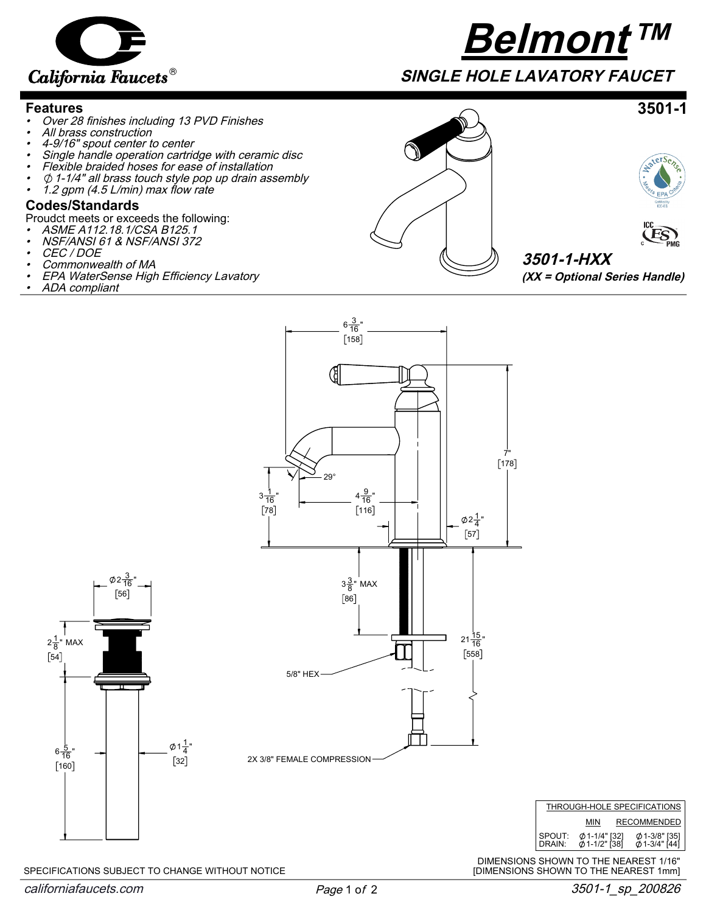

## **Belmont™**

**SINGLE HOLE LAVATORY FAUCET**

## **Features**

- •Over 28 finishes including 13 PVD Finishes
- •All brass construction
- •4-9/16" spout center to center
- •Single handle operation cartridge with ceramic disc
- •Flexible braided hoses for ease of installation
- • $\emptyset$  1-1/4" all brass touch style pop up drain assembly
- •1.2 gpm (4.5 L/min) max flow rate

## **Codes/Standards**

Proudct meets or exceeds the following:

- •ASME A112.18.1/CSA B125.1
- •NSF/ANSI 61 & NSF/ANSI 372
- •CEC / DOE
- •Commonwealth of MA
- •EPA WaterSense High Efficiency Lavatory
- •ADA compliant





**3501-1**

**3501-1-HXX (XX = Optional Series Handle)**



 $[32]$  $6\frac{5}{16}$ "  $[160]$  $2\frac{1}{8}$ " MAX  $[54]$  $2\frac{3}{16}$ "  $[56]$ 

 $1\frac{1}{4}$ "

SPECIFICATIONS SUBJECT TO CHANGE WITHOUT NOTICE



DIMENSIONS SHOWN TO THE NEAREST 1/16" [DIMENSIONS SHOWN TO THE NEAREST 1mm]